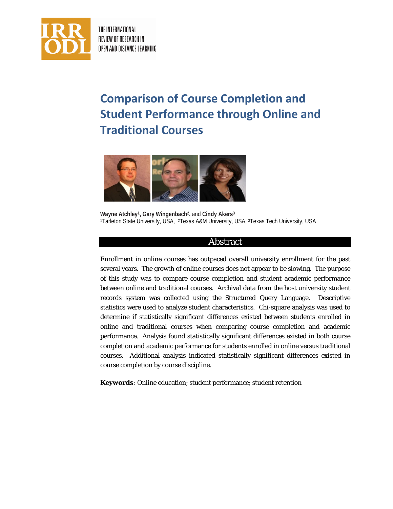

THE INTERNATIONAL REVIEW OF RESEARCH IN OPEN AND DISTANCE LEARNING

# **Comparison of Course Completion and Student Performance through Online and Traditional Courses**



**Wayne Atchley1, Gary Wingenbach2,** and **Cindy Akers3** 1Tarleton State University, USA, <sup>2</sup>Texas A&M University, USA, <sup>3</sup>Texas Tech University, USA

## Abstract

Enrollment in online courses has outpaced overall university enrollment for the past several years. The growth of online courses does not appear to be slowing. The purpose of this study was to compare course completion and student academic performance between online and traditional courses. Archival data from the host university student records system was collected using the Structured Query Language. Descriptive statistics were used to analyze student characteristics. Chi-square analysis was used to determine if statistically significant differences existed between students enrolled in online and traditional courses when comparing course completion and academic performance. Analysis found statistically significant differences existed in both course completion and academic performance for students enrolled in online versus traditional courses. Additional analysis indicated statistically significant differences existed in course completion by course discipline.

**Keywords***:* Online education; student performance; student retention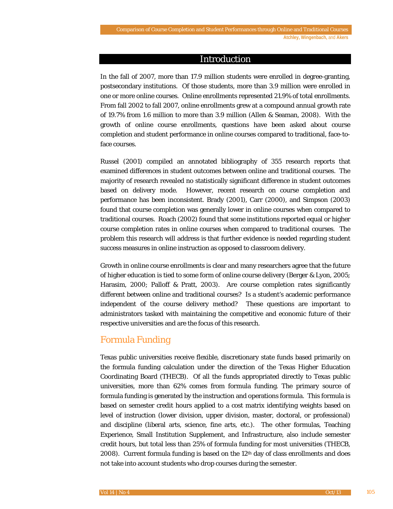#### Introduction

In the fall of 2007, more than 17.9 million students were enrolled in degree-granting, postsecondary institutions. Of those students, more than 3.9 million were enrolled in one or more online courses. Online enrollments represented 21.9% of total enrollments. From fall 2002 to fall 2007, online enrollments grew at a compound annual growth rate of 19.7% from 1.6 million to more than 3.9 million (Allen & Seaman, 2008). With the growth of online course enrollments, questions have been asked about course completion and student performance in online courses compared to traditional, face-toface courses.

Russel (2001) compiled an annotated bibliography of 355 research reports that examined differences in student outcomes between online and traditional courses. The majority of research revealed no statistically significant difference in student outcomes based on delivery mode. However, recent research on course completion and performance has been inconsistent. Brady (2001), Carr (2000), and Simpson (2003) found that course completion was generally lower in online courses when compared to traditional courses. Roach (2002) found that some institutions reported equal or higher course completion rates in online courses when compared to traditional courses. The problem this research will address is that further evidence is needed regarding student success measures in online instruction as opposed to classroom delivery.

Growth in online course enrollments is clear and many researchers agree that the future of higher education is tied to some form of online course delivery (Berger & Lyon, 2005; Harasim, 2000; Palloff & Pratt, 2003). Are course completion rates significantly different between online and traditional courses? Is a student's academic performance independent of the course delivery method? These questions are important to administrators tasked with maintaining the competitive and economic future of their respective universities and are the focus of this research.

## Formula Funding

Texas public universities receive flexible, discretionary state funds based primarily on the formula funding calculation under the direction of the Texas Higher Education Coordinating Board (THECB). Of all the funds appropriated directly to Texas public universities, more than 62% comes from formula funding. The primary source of formula funding is generated by the instruction and operations formula. This formula is based on semester credit hours applied to a cost matrix identifying weights based on level of instruction (lower division, upper division, master, doctoral, or professional) and discipline (liberal arts, science, fine arts, etc.). The other formulas, Teaching Experience, Small Institution Supplement, and Infrastructure, also include semester credit hours, but total less than 25% of formula funding for most universities (THECB, 2008). Current formula funding is based on the  $12<sup>th</sup>$  day of class enrollments and does not take into account students who drop courses during the semester.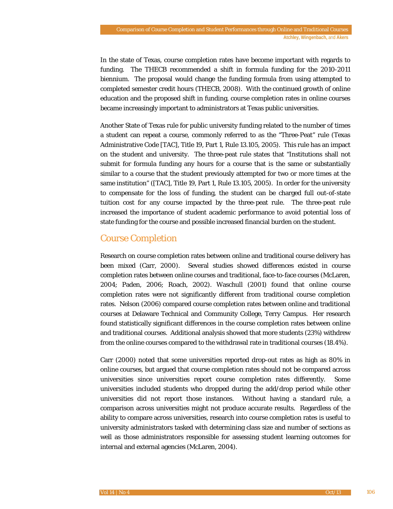In the state of Texas, course completion rates have become important with regards to funding. The THECB recommended a shift in formula funding for the 2010-2011 biennium. The proposal would change the funding formula from using attempted to completed semester credit hours (THECB, 2008). With the continued growth of online education and the proposed shift in funding, course completion rates in online courses became increasingly important to administrators at Texas public universities.

Another State of Texas rule for public university funding related to the number of times a student can repeat a course, commonly referred to as the "Three-Peat" rule (Texas Administrative Code [TAC], Title 19, Part 1, Rule 13.105, 2005). This rule has an impact on the student and university. The three-peat rule states that "Institutions shall not submit for formula funding any hours for a course that is the same or substantially similar to a course that the student previously attempted for two or more times at the same institution" ([TAC], Title 19, Part 1, Rule 13.105, 2005). In order for the university to compensate for the loss of funding, the student can be charged full out-of-state tuition cost for any course impacted by the three-peat rule. The three-peat rule increased the importance of student academic performance to avoid potential loss of state funding for the course and possible increased financial burden on the student.

## Course Completion

Research on course completion rates between online and traditional course delivery has been mixed (Carr, 2000). Several studies showed differences existed in course completion rates between online courses and traditional, face-to-face courses (McLaren, 2004; Paden, 2006; Roach, 2002). Waschull (2001) found that online course completion rates were not significantly different from traditional course completion rates. Nelson (2006) compared course completion rates between online and traditional courses at Delaware Technical and Community College, Terry Campus. Her research found statistically significant differences in the course completion rates between online and traditional courses. Additional analysis showed that more students (23%) withdrew from the online courses compared to the withdrawal rate in traditional courses (18.4%).

Carr (2000) noted that some universities reported drop-out rates as high as 80% in online courses, but argued that course completion rates should not be compared across universities since universities report course completion rates differently. Some universities included students who dropped during the add/drop period while other universities did not report those instances. Without having a standard rule, a comparison across universities might not produce accurate results. Regardless of the ability to compare across universities, research into course completion rates is useful to university administrators tasked with determining class size and number of sections as well as those administrators responsible for assessing student learning outcomes for internal and external agencies (McLaren, 2004).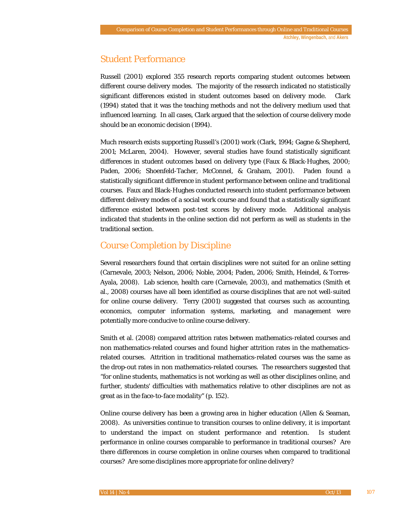# Student Performance

Russell (2001) explored 355 research reports comparing student outcomes between different course delivery modes. The majority of the research indicated no statistically significant differences existed in student outcomes based on delivery mode. Clark (1994) stated that it was the teaching methods and not the delivery medium used that influenced learning. In all cases, Clark argued that the selection of course delivery mode should be an economic decision (1994).

Much research exists supporting Russell's (2001) work (Clark, 1994; Gagne & Shepherd, 2001; McLaren, 2004). However, several studies have found statistically significant differences in student outcomes based on delivery type (Faux & Black-Hughes, 2000; Paden, 2006; Shoenfeld-Tacher, McConnel, & Graham, 2001). Paden found a statistically significant difference in student performance between online and traditional courses. Faux and Black-Hughes conducted research into student performance between different delivery modes of a social work course and found that a statistically significant difference existed between post-test scores by delivery mode. Additional analysis indicated that students in the online section did not perform as well as students in the traditional section.

# Course Completion by Discipline

Several researchers found that certain disciplines were not suited for an online setting (Carnevale, 2003; Nelson, 2006; Noble, 2004; Paden, 2006; Smith, Heindel, & Torres-Ayala, 2008). Lab science, health care (Carnevale, 2003), and mathematics (Smith et al., 2008) courses have all been identified as course disciplines that are not well-suited for online course delivery. Terry (2001) suggested that courses such as accounting, economics, computer information systems, marketing, and management were potentially more conducive to online course delivery.

Smith et al. (2008) compared attrition rates between mathematics-related courses and non mathematics-related courses and found higher attrition rates in the mathematicsrelated courses. Attrition in traditional mathematics-related courses was the same as the drop-out rates in non mathematics-related courses. The researchers suggested that "for online students, mathematics is not working as well as other disciplines online, and further, students' difficulties with mathematics relative to other disciplines are not as great as in the face-to-face modality" (p. 152).

Online course delivery has been a growing area in higher education (Allen & Seaman, 2008). As universities continue to transition courses to online delivery, it is important to understand the impact on student performance and retention. Is student performance in online courses comparable to performance in traditional courses? Are there differences in course completion in online courses when compared to traditional courses? Are some disciplines more appropriate for online delivery?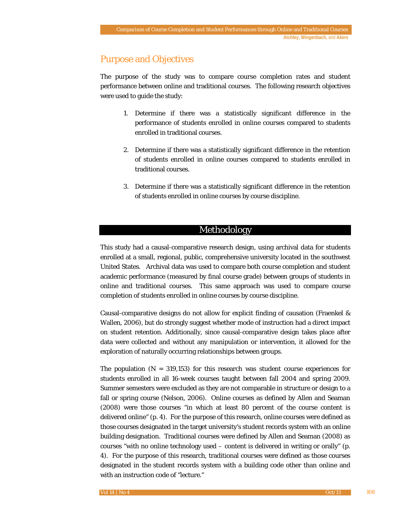# Purpose and Objectives

The purpose of the study was to compare course completion rates and student performance between online and traditional courses. The following research objectives were used to guide the study:

- 1. Determine if there was a statistically significant difference in the performance of students enrolled in online courses compared to students enrolled in traditional courses.
- 2. Determine if there was a statistically significant difference in the retention of students enrolled in online courses compared to students enrolled in traditional courses.
- 3. Determine if there was a statistically significant difference in the retention of students enrolled in online courses by course discipline.

## Methodology

This study had a causal-comparative research design, using archival data for students enrolled at a small, regional, public, comprehensive university located in the southwest United States. Archival data was used to compare both course completion and student academic performance (measured by final course grade) between groups of students in online and traditional courses. This same approach was used to compare course completion of students enrolled in online courses by course discipline.

Causal-comparative designs do not allow for explicit finding of causation (Fraenkel & Wallen, 2006), but do strongly suggest whether mode of instruction had a direct impact on student retention. Additionally, since causal-comparative design takes place after data were collected and without any manipulation or intervention, it allowed for the exploration of naturally occurring relationships between groups.

The population  $(N = 319,153)$  for this research was student course experiences for students enrolled in all 16-week courses taught between fall 2004 and spring 2009. Summer semesters were excluded as they are not comparable in structure or design to a fall or spring course (Nelson, 2006). Online courses as defined by Allen and Seaman (2008) were those courses "in which at least 80 percent of the course content is delivered online" (p. 4). For the purpose of this research, online courses were defined as those courses designated in the target university's student records system with an online building designation. Traditional courses were defined by Allen and Seaman (2008) as courses "with no online technology used – content is delivered in writing or orally" (p. 4). For the purpose of this research, traditional courses were defined as those courses designated in the student records system with a building code other than online and with an instruction code of "lecture."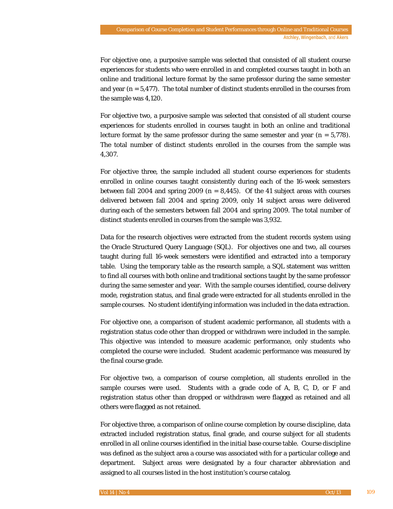For objective one, a purposive sample was selected that consisted of all student course experiences for students who were enrolled in and completed courses taught in both an online and traditional lecture format by the same professor during the same semester and year (*n =* 5,477). The total number of distinct students enrolled in the courses from the sample was 4,120.

For objective two, a purposive sample was selected that consisted of all student course experiences for students enrolled in courses taught in both an online and traditional lecture format by the same professor during the same semester and year (*n =* 5,778). The total number of distinct students enrolled in the courses from the sample was 4,307.

For objective three, the sample included all student course experiences for students enrolled in online courses taught consistently during each of the 16-week semesters between fall 2004 and spring 2009 ( $n = 8,445$ ). Of the 41 subject areas with courses delivered between fall 2004 and spring 2009, only 14 subject areas were delivered during each of the semesters between fall 2004 and spring 2009. The total number of distinct students enrolled in courses from the sample was 3,932.

Data for the research objectives were extracted from the student records system using the Oracle Structured Query Language (SQL). For objectives one and two, all courses taught during full 16-week semesters were identified and extracted into a temporary table. Using the temporary table as the research sample, a SQL statement was written to find all courses with both online and traditional sections taught by the same professor during the same semester and year. With the sample courses identified, course delivery mode, registration status, and final grade were extracted for all students enrolled in the sample courses. No student identifying information was included in the data extraction.

For objective one, a comparison of student academic performance, all students with a registration status code other than dropped or withdrawn were included in the sample. This objective was intended to measure academic performance, only students who completed the course were included. Student academic performance was measured by the final course grade.

For objective two, a comparison of course completion, all students enrolled in the sample courses were used. Students with a grade code of A, B, C, D, or F and registration status other than dropped or withdrawn were flagged as retained and all others were flagged as not retained.

For objective three, a comparison of online course completion by course discipline, data extracted included registration status, final grade, and course subject for all students enrolled in all online courses identified in the initial base course table. Course discipline was defined as the subject area a course was associated with for a particular college and department. Subject areas were designated by a four character abbreviation and assigned to all courses listed in the host institution's course catalog.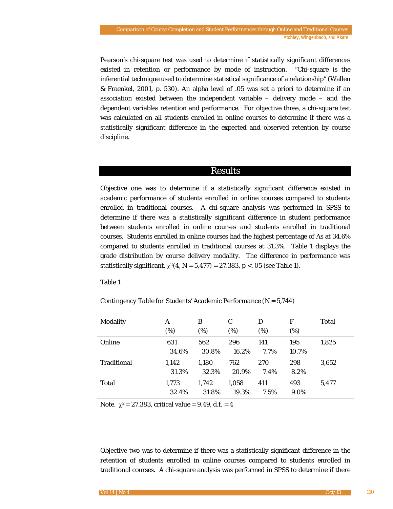Pearson's chi-square test was used to determine if statistically significant differences existed in retention or performance by mode of instruction. "Chi-square is the inferential technique used to determine statistical significance of a relationship" (Wallen & Fraenkel, 2001, p. 530). An alpha level of .05 was set a priori to determine if an association existed between the independent variable – delivery mode – and the dependent variables retention and performance. For objective three, a chi-square test was calculated on all students enrolled in online courses to determine if there was a statistically significant difference in the expected and observed retention by course discipline.

## Results

Objective one was to determine if a statistically significant difference existed in academic performance of students enrolled in online courses compared to students enrolled in traditional courses. A chi-square analysis was performed in SPSS to determine if there was a statistically significant difference in student performance between students enrolled in online courses and students enrolled in traditional courses. Students enrolled in online courses had the highest percentage of As at 34.6% compared to students enrolled in traditional courses at 31.3%. Table 1 displays the grade distribution by course delivery modality. The difference in performance was statistically significant,  $\chi^2(4, N = 5,477) = 27.383$ ,  $p < .05$  (see Table 1).

Table 1

*Contingency Table for Students' Academic Performance (N = 5,744)*

| Modality           | A     | B     | C     | D    | F     | Total |
|--------------------|-------|-------|-------|------|-------|-------|
|                    | (%)   | (%)   | (%)   | (%)  | (%)   |       |
| Online             | 631   | 562   | 296   | 141  | 195   | 1,825 |
|                    | 34.6% | 30.8% | 16.2% | 7.7% | 10.7% |       |
| <b>Traditional</b> | 1,142 | 1,180 | 762   | 270  | 298   | 3,652 |
|                    | 31.3% | 32.3% | 20.9% | 7.4% | 8.2%  |       |
| Total              | 1,773 | 1.742 | 1,058 | 411  | 493   | 5.477 |
|                    | 32.4% | 31.8% | 19.3% | 7.5% | 9.0%  |       |

*Note.*  $\chi^2 = 27.383$ , critical value = 9.49, d.f. = 4

Objective two was to determine if there was a statistically significant difference in the retention of students enrolled in online courses compared to students enrolled in traditional courses. A chi-square analysis was performed in SPSS to determine if there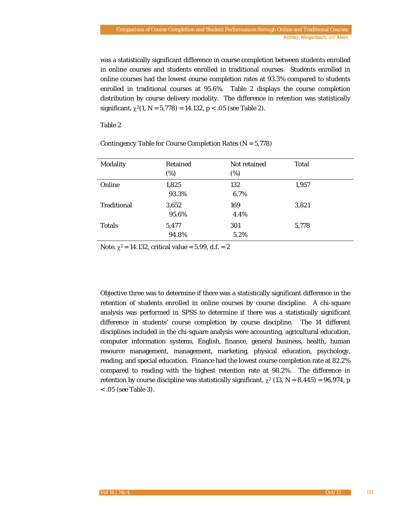was a statistically significant difference in course completion between students enrolled in online courses and students enrolled in traditional courses. Students enrolled in online courses had the lowest course completion rates at 93.3% compared to students enrolled in traditional courses at 95.6%. Table 2 displays the course completion distribution by course delivery modality. The difference in retention was statistically significant,  $\chi^2(1, N = 5,778) = 14.132$ ,  $p < .05$  (see Table 2).

Table 2

| Modality           | Retained<br>$(\%)$ | Not retained<br>$(\%)$ | <b>Total</b> |  |
|--------------------|--------------------|------------------------|--------------|--|
| Online             | 1,825<br>93.3%     | 132<br>6.7%            | 1,957        |  |
| <b>Traditional</b> | 3,652<br>95.6%     | 169<br>4.4%            | 3,821        |  |
| <b>Totals</b>      | 5,477<br>94.8%     | 301<br>5.2%            | 5,778        |  |

#### *Contingency Table for Course Completion Rates (N = 5,778)*

*Note.*  $\chi^2 = 14.132$ , critical value = 5.99, d.f. = 2

Objective three was to determine if there was a statistically significant difference in the retention of students enrolled in online courses by course discipline. A chi-square analysis was performed in SPSS to determine if there was a statistically significant difference in students' course completion by course discipline. The 14 different disciplines included in the chi-square analysis were accounting, agricultural education, computer information systems, English, finance, general business, health, human resource management, management, marketing, physical education, psychology, reading, and special education. Finance had the lowest course completion rate at 82.2% compared to reading with the highest retention rate at 98.2%. The difference in retention by course discipline was statistically significant,  $\chi^2$  (13,  $N = 8,445$ ) = 96.974, *p* < .05 (see Table 3).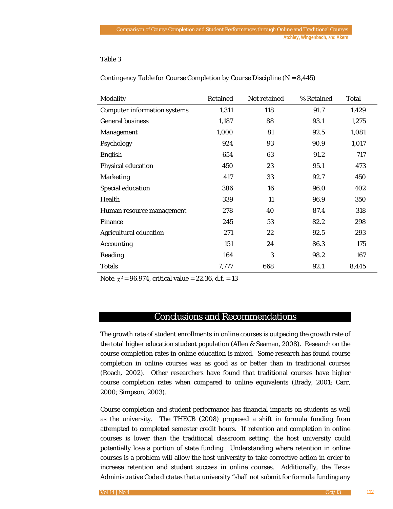#### Table 3

| Modality                            | Retained | Not retained | % Retained | Total |
|-------------------------------------|----------|--------------|------------|-------|
| <b>Computer information systems</b> | 1,311    | 118          | 91.7       | 1,429 |
| <b>General business</b>             | 1,187    | 88           | 93.1       | 1,275 |
| Management                          | 1,000    | 81           | 92.5       | 1,081 |
| Psychology                          | 924      | 93           | 90.9       | 1,017 |
| English                             | 654      | 63           | 91.2       | 717   |
| Physical education                  | 450      | 23           | 95.1       | 473   |
| <b>Marketing</b>                    | 417      | 33           | 92.7       | 450   |
| <b>Special education</b>            | 386      | 16           | 96.0       | 402   |
| Health                              | 339      | 11           | 96.9       | 350   |
| Human resource management           | 278      | 40           | 87.4       | 318   |
| <b>Finance</b>                      | 245      | 53           | 82.2       | 298   |
| <b>Agricultural education</b>       | 271      | 22           | 92.5       | 293   |
| <b>Accounting</b>                   | 151      | 24           | 86.3       | 175   |
| Reading                             | 164      | 3            | 98.2       | 167   |
| <b>Totals</b>                       | 7,777    | 668          | 92.1       | 8,445 |

*Contingency Table for Course Completion by Course Discipline (N = 8,445)*

*Note.*  $\chi^2 = 96.974$ , critical value = 22.36, d.f. = 13

# Conclusions and Recommendations

The growth rate of student enrollments in online courses is outpacing the growth rate of the total higher education student population (Allen & Seaman, 2008). Research on the course completion rates in online education is mixed. Some research has found course completion in online courses was as good as or better than in traditional courses (Roach, 2002). Other researchers have found that traditional courses have higher course completion rates when compared to online equivalents (Brady, 2001; Carr, 2000; Simpson, 2003).

Course completion and student performance has financial impacts on students as well as the university. The THECB (2008) proposed a shift in formula funding from attempted to completed semester credit hours. If retention and completion in online courses is lower than the traditional classroom setting, the host university could potentially lose a portion of state funding. Understanding where retention in online courses is a problem will allow the host university to take corrective action in order to increase retention and student success in online courses. Additionally, the Texas Administrative Code dictates that a university "shall not submit for formula funding any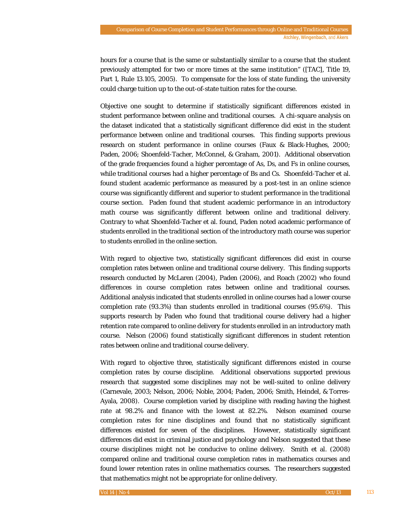hours for a course that is the same or substantially similar to a course that the student previously attempted for two or more times at the same institution" ([TAC], Title 19, Part 1, Rule 13.105, 2005). To compensate for the loss of state funding, the university could charge tuition up to the out-of-state tuition rates for the course.

Objective one sought to determine if statistically significant differences existed in student performance between online and traditional courses. A chi-square analysis on the dataset indicated that a statistically significant difference did exist in the student performance between online and traditional courses. This finding supports previous research on student performance in online courses (Faux & Black-Hughes, 2000; Paden, 2006; Shoenfeld-Tacher, McConnel, & Graham, 2001). Additional observation of the grade frequencies found a higher percentage of As, Ds, and Fs in online courses, while traditional courses had a higher percentage of Bs and Cs. Shoenfeld-Tacher et al. found student academic performance as measured by a post-test in an online science course was significantly different and superior to student performance in the traditional course section. Paden found that student academic performance in an introductory math course was significantly different between online and traditional delivery. Contrary to what Shoenfeld-Tacher et al. found, Paden noted academic performance of students enrolled in the traditional section of the introductory math course was superior to students enrolled in the online section.

With regard to objective two, statistically significant differences did exist in course completion rates between online and traditional course delivery. This finding supports research conducted by McLaren (2004), Paden (2006), and Roach (2002) who found differences in course completion rates between online and traditional courses. Additional analysis indicated that students enrolled in online courses had a lower course completion rate (93.3%) than students enrolled in traditional courses (95.6%). This supports research by Paden who found that traditional course delivery had a higher retention rate compared to online delivery for students enrolled in an introductory math course. Nelson (2006) found statistically significant differences in student retention rates between online and traditional course delivery.

With regard to objective three, statistically significant differences existed in course completion rates by course discipline. Additional observations supported previous research that suggested some disciplines may not be well-suited to online delivery (Carnevale, 2003; Nelson, 2006; Noble, 2004; Paden, 2006; Smith, Heindel, & Torres-Ayala, 2008). Course completion varied by discipline with reading having the highest rate at 98.2% and finance with the lowest at 82.2%. Nelson examined course completion rates for nine disciplines and found that no statistically significant differences existed for seven of the disciplines. However, statistically significant differences did exist in criminal justice and psychology and Nelson suggested that these course disciplines might not be conducive to online delivery. Smith et al. (2008) compared online and traditional course completion rates in mathematics courses and found lower retention rates in online mathematics courses. The researchers suggested that mathematics might not be appropriate for online delivery.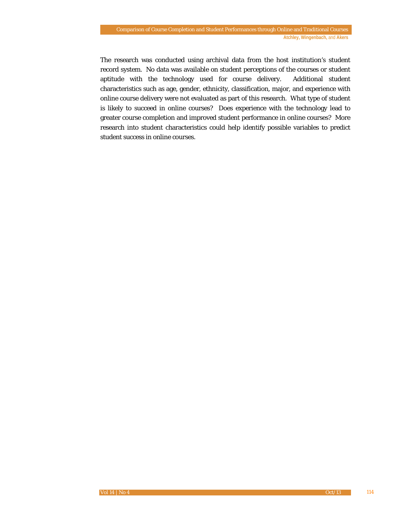The research was conducted using archival data from the host institution's student record system. No data was available on student perceptions of the courses or student aptitude with the technology used for course delivery. Additional student characteristics such as age, gender, ethnicity, classification, major, and experience with online course delivery were not evaluated as part of this research. What type of student is likely to succeed in online courses? Does experience with the technology lead to greater course completion and improved student performance in online courses? More research into student characteristics could help identify possible variables to predict student success in online courses.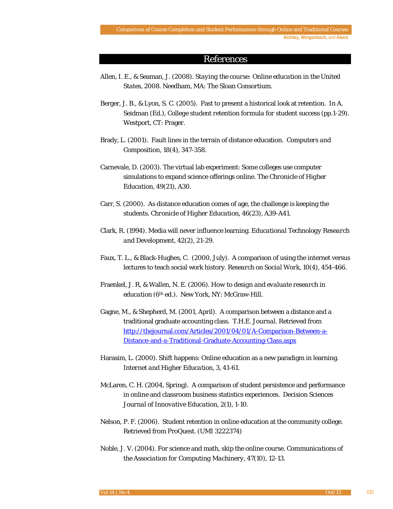#### References

- Allen, I. E., & Seaman, J. (2008). *Staying the course: Online education in the United States, 2008.* Needham, MA: The Sloan Consortium.
- Berger, J. B., & Lyon, S. C. (2005). Past to present a historical look at retention. In A. Seidman (Ed.), *College student retention formula for student success* (pp.1-29). Westport, CT: Prager.
- Brady, L. (2001). Fault lines in the terrain of distance education. *Computers and Composition, 18*(4), 347-358.
- Carnevale, D. (2003). The virtual lab experiment: Some colleges use computer simulations to expand science offerings online. *The Chronicle of Higher Education, 49*(21), A30.
- Carr, S. (2000). As distance education comes of age, the challenge is keeping the students. *Chronicle of Higher Education, 46*(23), A39-A41.
- Clark, R. (1994). Media will never influence learning. *Educational Technology Research and Development, 42*(2), 21-29.
- Faux, T. L., & Black-Hughes, C. (2000, July). A comparison of using the internet versus lectures to teach social work history. *Research on Social Work, 10*(4), 454-466.
- Fraenkel, J. R, & Wallen, N. E. (2006). *How to design and evaluate research in education* (6th ed.). New York, NY: McGraw-Hill.
- Gagne, M., & Shepherd, M. (2001, April). A comparison between a distance and a traditional graduate accounting class. *T.H.E. Journal.* Retrieved from [http://thejournal.com/Articles/2001/04/01/A-Comparison-Between-a-](http://thejournal.com/Articles/2001/04/01/A-Comparison-Between-a-Distance-and-a-Traditional-Graduate-Accounting-Class.aspx)[Distance-and-a-Traditional-Graduate-Accounting-Class.aspx](http://thejournal.com/Articles/2001/04/01/A-Comparison-Between-a-Distance-and-a-Traditional-Graduate-Accounting-Class.aspx)
- Harasim, L. (2000). Shift happens: Online education as a new paradigm in learning. *Internet and Higher Education, 3,* 41-61.
- McLaren, C. H. (2004, Spring). A comparison of student persistence and performance in online and classroom business statistics experiences. *Decision Sciences Journal of Innovative Education, 2*(1), 1-10.
- Nelson, P. F. (2006). Student retention in online education at the community college. Retrieved from ProQuest. (UMI 3222374)
- Noble, J. V. (2004). For science and math, skip the online course. *Communications of the Association for Computing Machinery, 47*(10), 12-13.